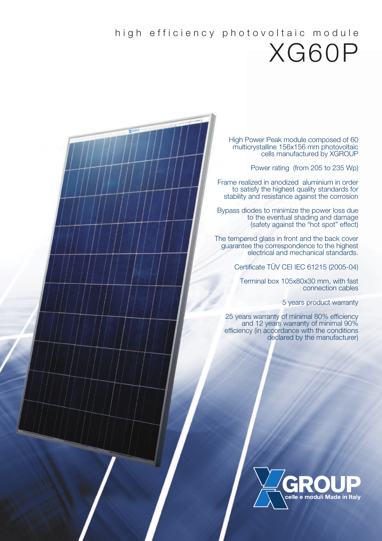## high efficiency photovoltaic module XG60P

High Power Peak module composed of 60 multicrystalline 156x156 mm photovoltaic cells manufactured by XGROUP

Power rating (from 205 to 235 Wp)

Frame realized in anodized aluminium in order to satisfy the highest quality standards for stability and resistance against the corrosion

Bypass diodes to minimize the power loss due to the eventual shading and damage (safety against the "hot spot" effect)

The tempered glass in front and the back cover guarantee the correspondence to the highest electrical and mechanical standards.

Certificate TÜV CEI IEC 61215 (2005-04)

**Terminal box 105x80x30 mm, with fast** connection cables

5 years product warranty

25 years warranty of minimal 80% efficiency and 12 years warranty of minimal 90% efficiency (in accordance with the conditions declared by the manufacturer)